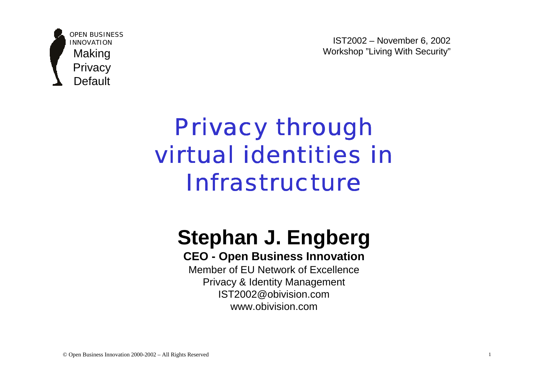

INNOVATION IST2002 – November 6, 2002 Workshop "Living With Security"

## Privacy through virtual identities in Infrastructure

### **Stephan J. Engberg**

#### **CEO - Open Business Innovation**

Member of EU Network of Excellence Privacy & Identity Management IST2002@obivision.com www.obivision.com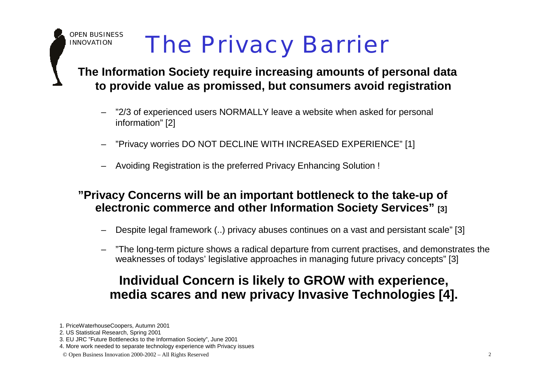#### OPEN BUSINESS INNOVATION The Privacy Barrier

#### **The Information Society require increasing amounts of personal data to provide value as promissed, but consumers avoid registration**

- "2/3 of experienced users NORMALLY leave a website when asked for personal information" [2]
- "Privacy worries DO NOT DECLINE WITH INCREASED EXPERIENCE" [1]
- Avoiding Registration is the preferred Privacy Enhancing Solution !

#### **"Privacy Concerns will be an important bottleneck to the take-up of electronic commerce and other Information Society Services" [3]**

- Despite legal framework (..) privacy abuses continues on a vast and persistant scale" [3]
- "The long-term picture shows a radical departure from current practises, and demonstrates the weaknesses of todays' legislative approaches in managing future privacy concepts" [3]

#### **Individual Concern is likely to GROW with experience, media scares and new privacy Invasive Technologies [4].**

<sup>1.</sup> PriceWaterhouseCoopers, Autumn 2001

<sup>2.</sup> US Statistical Research, Spring 2001

<sup>3.</sup> EU JRC "Future Bottlenecks to the Information Society", June 2001

<sup>4.</sup> More work needed to separate technology experience with Privacy issues

<sup>©</sup> Open Business Innovation 2000-2002 – All Rights Reserved <sup>2</sup>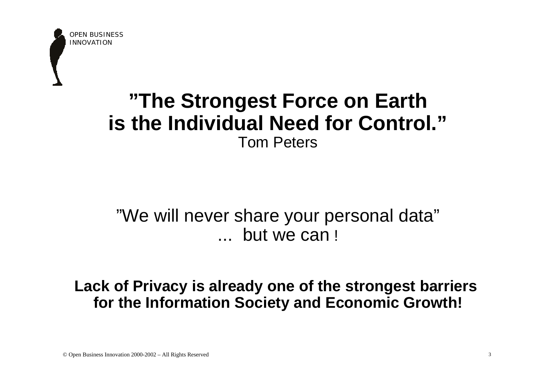

## **"The Strongest Force on Earth is the Individual Need for Control."**

Tom Peters

"We will never share your personal data" ... but we can !

**Lack of Privacy is already one of the strongest barriers for the Information Society and Economic Growth!**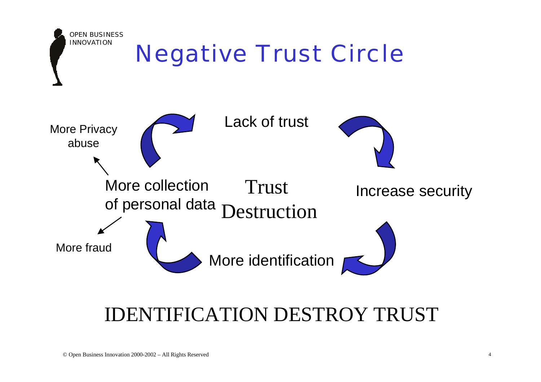

### IDENTIFICATION DESTROY TRUST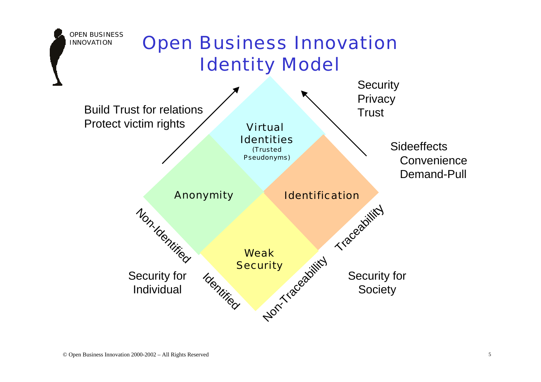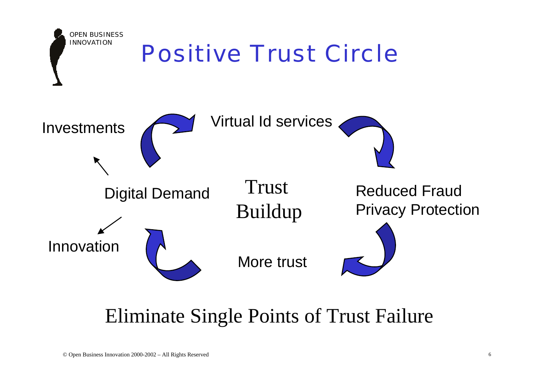

### Eliminate Single Points of Trust Failure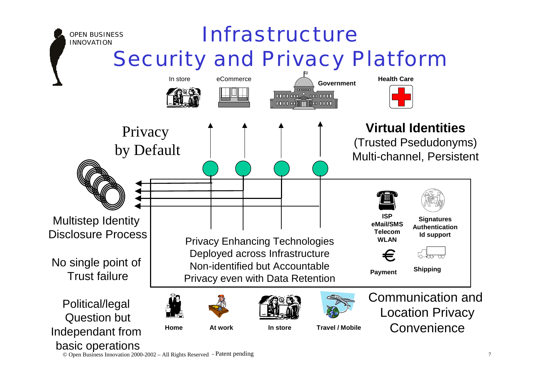

© Open Business Innovation 2000-2002 – All Rights Reserved Fatent pending  $\sim$  7